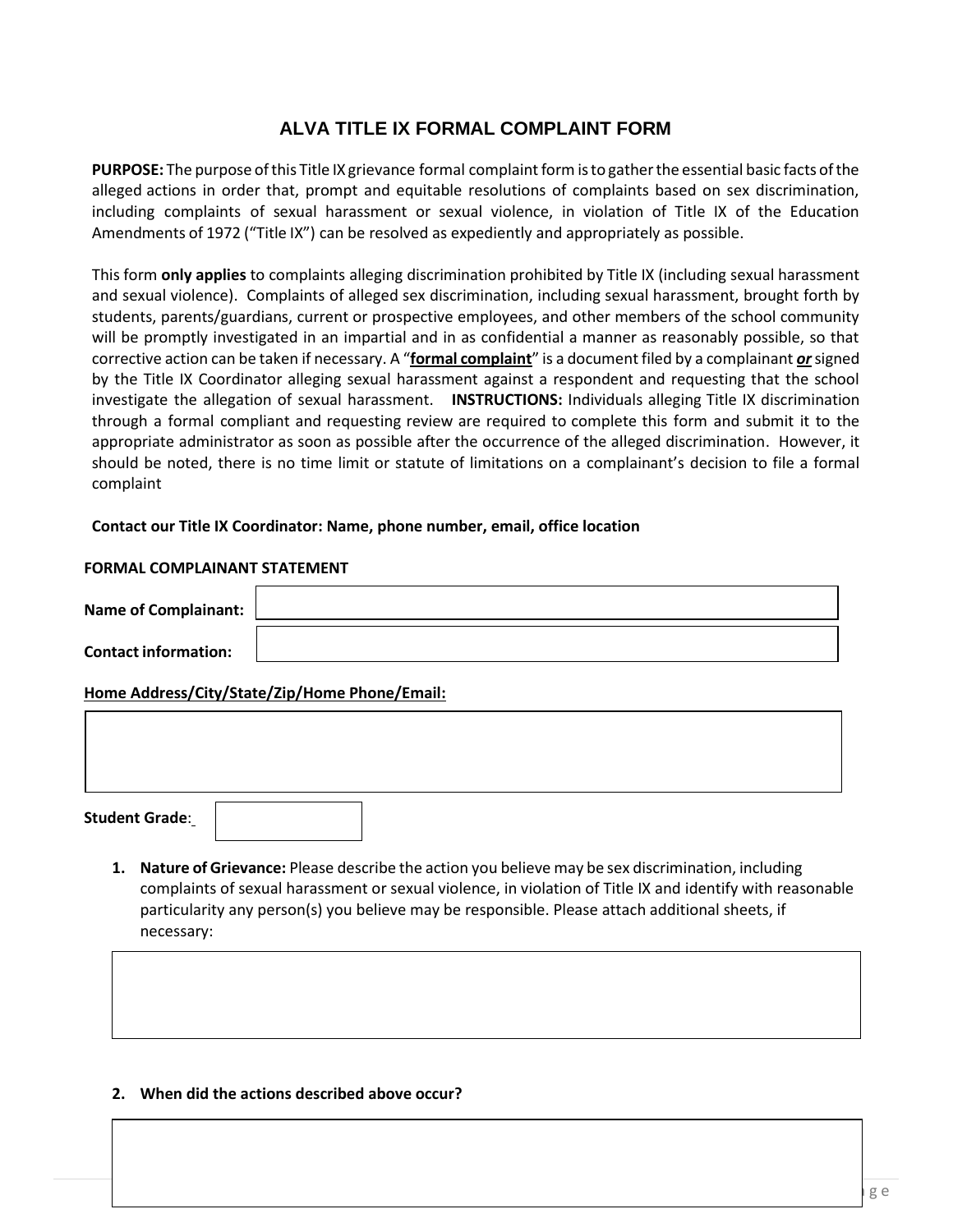# **ALVA TITLE IX FORMAL COMPLAINT FORM**

PURPOSE: The purpose of this Title IX grievance formal complaint form is to gather the essential basic facts of the alleged actions in order that, prompt and equitable resolutions of complaints based on sex discrimination, including complaints of sexual harassment or sexual violence, in violation of Title IX of the Education Amendments of 1972 ("Title IX") can be resolved as expediently and appropriately as possible.

This form **only applies** to complaints alleging discrimination prohibited by Title IX (including sexual harassment and sexual violence). Complaints of alleged sex discrimination, including sexual harassment, brought forth by students, parents/guardians, current or prospective employees, and other members of the school community will be promptly investigated in an impartial and in as confidential a manner as reasonably possible, so that corrective action can be taken if necessary. A "**formal complaint**" is a document filed by a complainant *or*signed by the Title IX Coordinator alleging sexual harassment against a respondent and requesting that the school investigate the allegation of sexual harassment. **INSTRUCTIONS:** Individuals alleging Title IX discrimination through a formal compliant and requesting review are required to complete this form and submit it to the appropriate administrator as soon as possible after the occurrence of the alleged discrimination. However, it should be noted, there is no time limit or statute of limitations on a complainant's decision to file a formal complaint

#### **Contact our Title IX Coordinator: Name, phone number, email, office location**

#### **FORMAL COMPLAINANT STATEMENT**

| Name of Complainant:        |  |
|-----------------------------|--|
| <b>Contact information:</b> |  |

### **Home Address/City/State/Zip/Home Phone/Email:**

**Student Grade**:

**1. Nature of Grievance:** Please describe the action you believe may be sex discrimination, including complaints of sexual harassment or sexual violence, in violation of Title IX and identify with reasonable particularity any person(s) you believe may be responsible. Please attach additional sheets, if necessary:

**2. When did the actions described above occur?**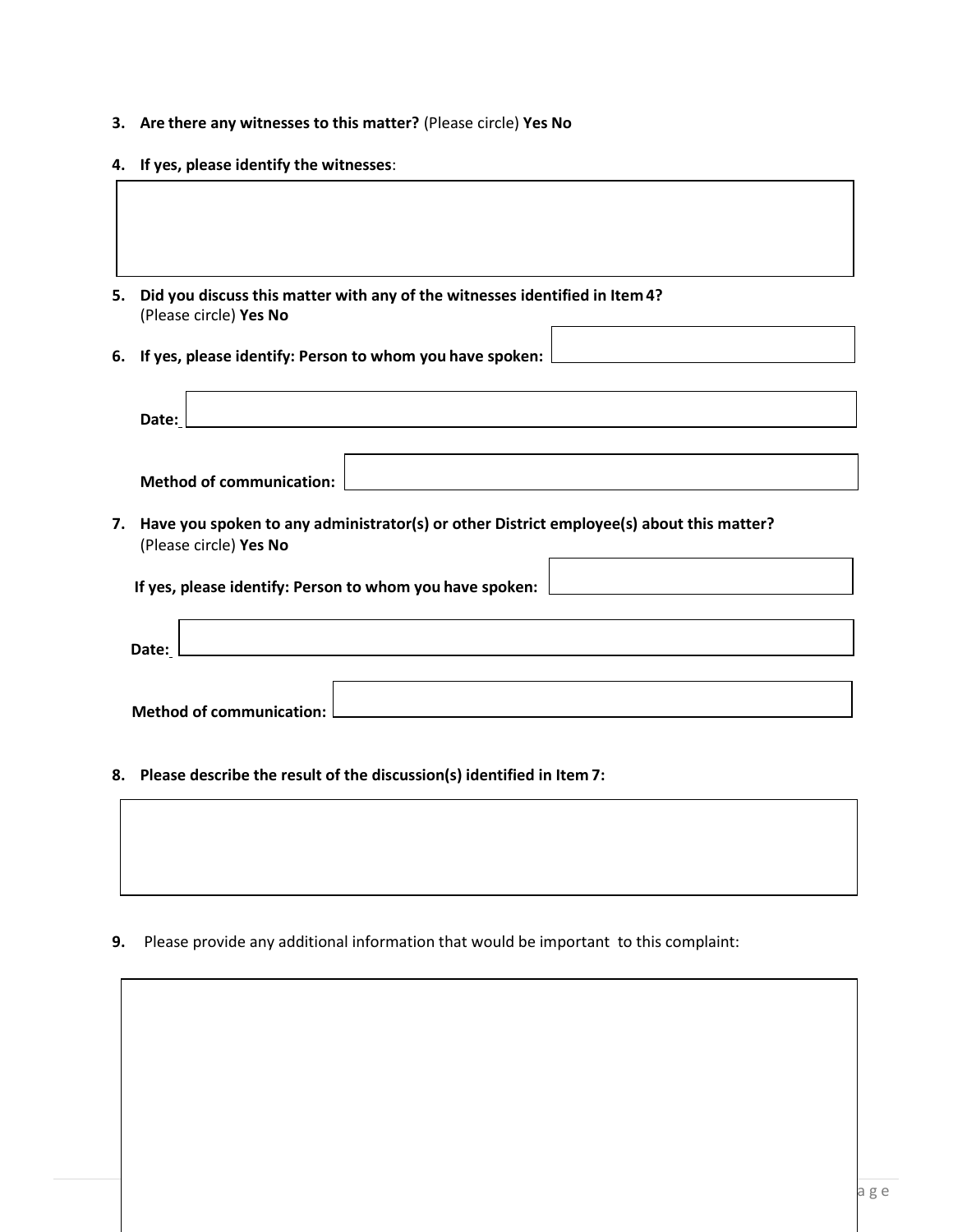- **3. Are there any witnesses to this matter?** (Please circle) **Yes No**
- **4. If yes, please identify the witnesses**:
- **5. Did you discuss this matter with any of the witnesses identified in Item 4?** (Please circle) **Yes No**
- **6. If yes, please identify: Person to whom you have spoken:**

| Date:                                                                                                                     |  |  |  |  |
|---------------------------------------------------------------------------------------------------------------------------|--|--|--|--|
| <b>Method of communication:</b>                                                                                           |  |  |  |  |
| 7. Have you spoken to any administrator(s) or other District employee(s) about this matter?<br>(Please circle) Yes No     |  |  |  |  |
| If yes, please identify: Person to whom you have spoken:                                                                  |  |  |  |  |
| Date:<br>and the control of the control of the control of the control of the control of the control of the control of the |  |  |  |  |
| <b>Method of communication:</b>                                                                                           |  |  |  |  |

**8. Please describe the result of the discussion(s) identified in Item 7:**

**9.** Please provide any additional information that would be important to this complaint: